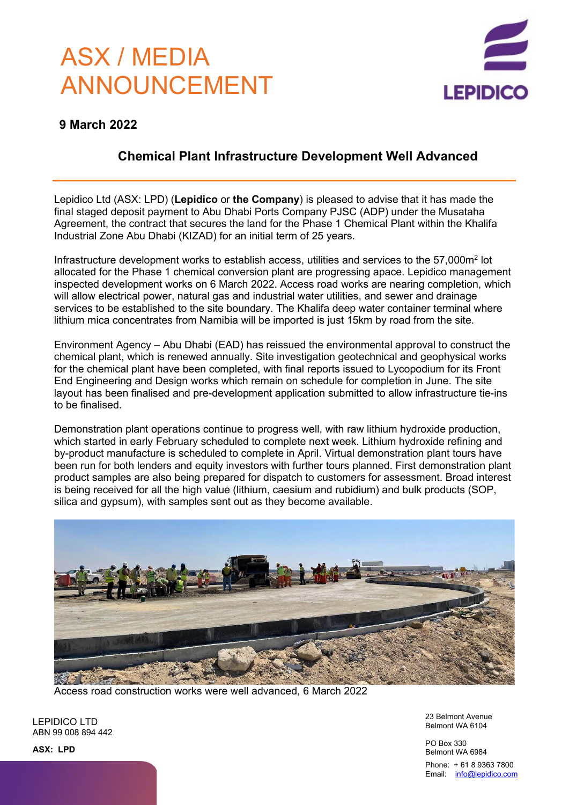# ASX / MEDIA ANNOUNCEMENT



### **9 March 2022**

## **Chemical Plant Infrastructure Development Well Advanced**

Lepidico Ltd (ASX: LPD) (**Lepidico** or **the Company**) is pleased to advise that it has made the final staged deposit payment to Abu Dhabi Ports Company PJSC (ADP) under the Musataha Agreement, the contract that secures the land for the Phase 1 Chemical Plant within the Khalifa Industrial Zone Abu Dhabi (KIZAD) for an initial term of 25 years.

Infrastructure development works to establish access, utilities and services to the 57,000m2 lot allocated for the Phase 1 chemical conversion plant are progressing apace. Lepidico management inspected development works on 6 March 2022. Access road works are nearing completion, which will allow electrical power, natural gas and industrial water utilities, and sewer and drainage services to be established to the site boundary. The Khalifa deep water container terminal where lithium mica concentrates from Namibia will be imported is just 15km by road from the site.

Environment Agency – Abu Dhabi (EAD) has reissued the environmental approval to construct the chemical plant, which is renewed annually. Site investigation geotechnical and geophysical works for the chemical plant have been completed, with final reports issued to Lycopodium for its Front End Engineering and Design works which remain on schedule for completion in June. The site layout has been finalised and pre-development application submitted to allow infrastructure tie-ins to be finalised.

Demonstration plant operations continue to progress well, with raw lithium hydroxide production, which started in early February scheduled to complete next week. Lithium hydroxide refining and by-product manufacture is scheduled to complete in April. Virtual demonstration plant tours have been run for both lenders and equity investors with further tours planned. First demonstration plant product samples are also being prepared for dispatch to customers for assessment. Broad interest is being received for all the high value (lithium, caesium and rubidium) and bulk products (SOP, silica and gypsum), with samples sent out as they become available.



Access road construction works were well advanced, 6 March 2022

LEPIDICO LTD ABN 99 008 894 442 23 Belmont Avenue Belmont WA 6104

PO Box 330 Belmont WA 6984 Phone: + 61 8 9363 7800 Email: [info@lepidico.com](mailto:info@lepidico.com)

**ASX: LPD**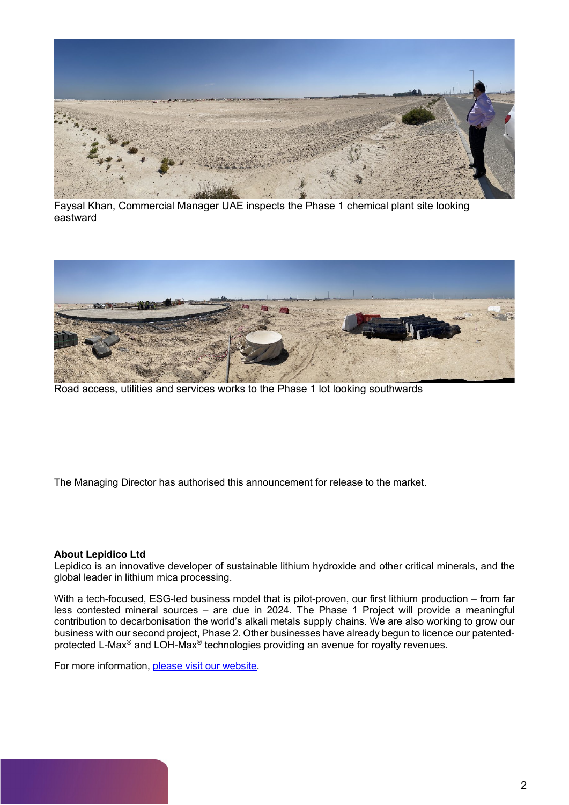

Faysal Khan, Commercial Manager UAE inspects the Phase 1 chemical plant site looking eastward



Road access, utilities and services works to the Phase 1 lot looking southwards

The Managing Director has authorised this announcement for release to the market.

#### **About Lepidico Ltd**

Lepidico is an innovative developer of sustainable lithium hydroxide and other critical minerals, and the global leader in lithium mica processing.

With a tech-focused, ESG-led business model that is pilot-proven, our first lithium production – from far less contested mineral sources – are due in 2024. The Phase 1 Project will provide a meaningful contribution to decarbonisation the world's alkali metals supply chains. We are also working to grow our business with our second project, Phase 2. Other businesses have already begun to licence our patentedprotected L-Max® and LOH-Max® technologies providing an avenue for royalty revenues.

For more information, [please visit our website.](https://www.lepidico.com/)